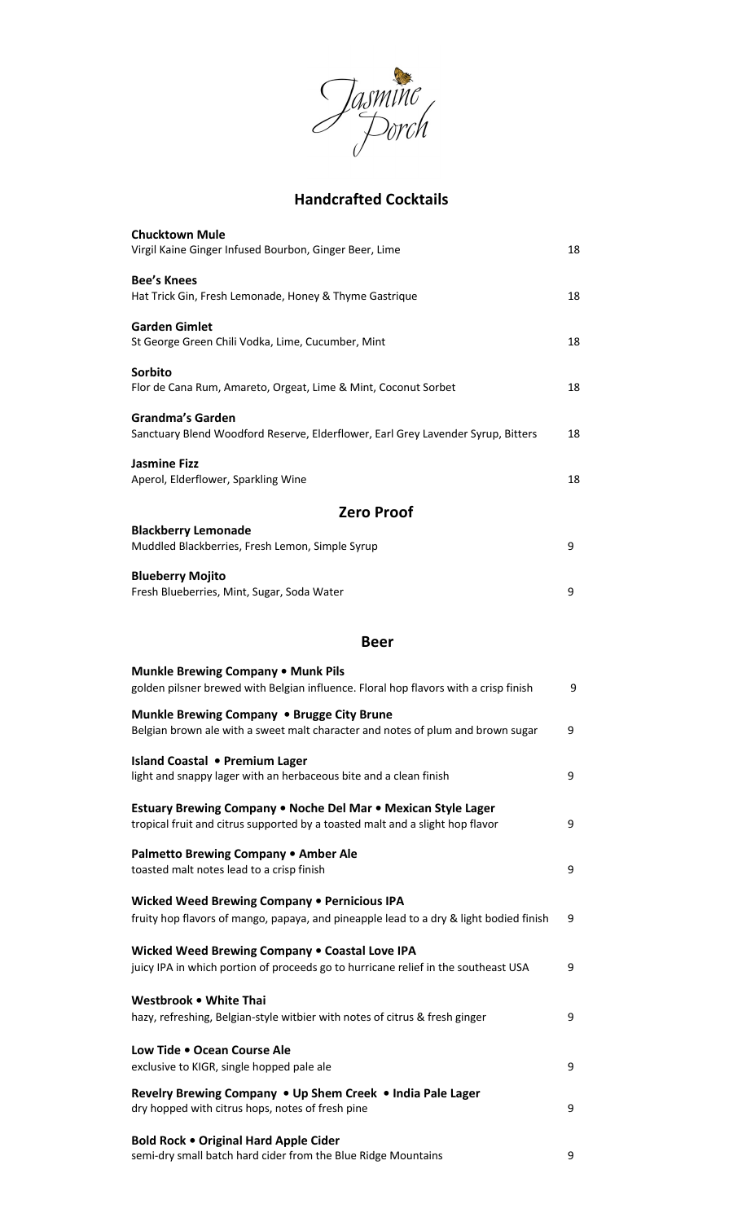

## **Handcrafted Cocktails**

| <b>Chucktown Mule</b><br>Virgil Kaine Ginger Infused Bourbon, Ginger Beer, Lime                                                                | 18 |
|------------------------------------------------------------------------------------------------------------------------------------------------|----|
| <b>Bee's Knees</b><br>Hat Trick Gin, Fresh Lemonade, Honey & Thyme Gastrique                                                                   | 18 |
| <b>Garden Gimlet</b><br>St George Green Chili Vodka, Lime, Cucumber, Mint                                                                      | 18 |
| Sorbito<br>Flor de Cana Rum, Amareto, Orgeat, Lime & Mint, Coconut Sorbet                                                                      | 18 |
| <b>Grandma's Garden</b><br>Sanctuary Blend Woodford Reserve, Elderflower, Earl Grey Lavender Syrup, Bitters                                    | 18 |
| <b>Jasmine Fizz</b><br>Aperol, Elderflower, Sparkling Wine                                                                                     | 18 |
| <b>Zero Proof</b>                                                                                                                              |    |
| <b>Blackberry Lemonade</b>                                                                                                                     |    |
| Muddled Blackberries, Fresh Lemon, Simple Syrup                                                                                                | 9  |
| <b>Blueberry Mojito</b><br>Fresh Blueberries, Mint, Sugar, Soda Water                                                                          | 9  |
| <b>Beer</b>                                                                                                                                    |    |
| <b>Munkle Brewing Company . Munk Pils</b><br>golden pilsner brewed with Belgian influence. Floral hop flavors with a crisp finish              | 9  |
| Munkle Brewing Company . Brugge City Brune<br>Belgian brown ale with a sweet malt character and notes of plum and brown sugar                  | 9  |
| Island Coastal • Premium Lager<br>light and snappy lager with an herbaceous bite and a clean finish                                            | 9  |
| Estuary Brewing Company . Noche Del Mar . Mexican Style Lager<br>tropical fruit and citrus supported by a toasted malt and a slight hop flavor | 9  |
| Palmetto Brewing Company . Amber Ale<br>toasted malt notes lead to a crisp finish                                                              | 9  |
| Wicked Weed Brewing Company . Pernicious IPA<br>fruity hop flavors of mango, papaya, and pineapple lead to a dry & light bodied finish         | 9  |
| Wicked Weed Brewing Company . Coastal Love IPA<br>juicy IPA in which portion of proceeds go to hurricane relief in the southeast USA           | 9  |
| Westbrook . White Thai<br>hazy, refreshing, Belgian-style witbier with notes of citrus & fresh ginger                                          | 9  |
| Low Tide . Ocean Course Ale<br>exclusive to KIGR, single hopped pale ale                                                                       | 9  |
| Revelry Brewing Company . Up Shem Creek . India Pale Lager<br>dry hopped with citrus hops, notes of fresh pine                                 | 9  |
| <b>Bold Rock . Original Hard Apple Cider</b><br>semi-dry small batch hard cider from the Blue Ridge Mountains                                  | 9  |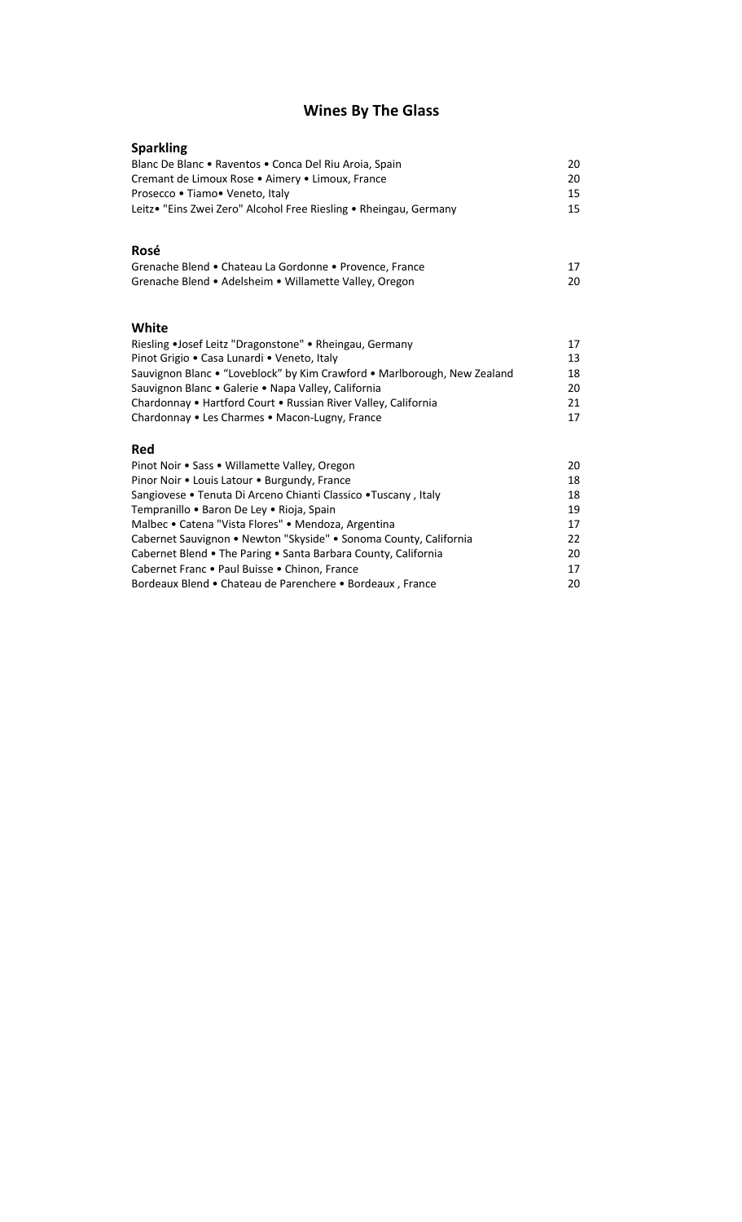# **Wines By The Glass**

| <b>Sparkling</b>                                                                                                |    |
|-----------------------------------------------------------------------------------------------------------------|----|
| Blanc De Blanc . Raventos . Conca Del Riu Aroia, Spain                                                          | 20 |
| Cremant de Limoux Rose . Aimery . Limoux, France                                                                | 20 |
| Prosecco • Tiamo • Veneto, Italy                                                                                | 15 |
| Leitz• "Eins Zwei Zero" Alcohol Free Riesling • Rheingau, Germany                                               | 15 |
|                                                                                                                 |    |
| Rosé                                                                                                            |    |
| Grenache Blend • Chateau La Gordonne • Provence, France                                                         | 17 |
| Grenache Blend • Adelsheim • Willamette Valley, Oregon                                                          | 20 |
|                                                                                                                 |    |
|                                                                                                                 |    |
| White                                                                                                           |    |
| Riesling •Josef Leitz "Dragonstone" • Rheingau, Germany                                                         | 17 |
| Pinot Grigio • Casa Lunardi • Veneto, Italy                                                                     | 13 |
| Sauvignon Blanc . "Loveblock" by Kim Crawford . Marlborough, New Zealand                                        | 18 |
| Sauvignon Blanc . Galerie . Napa Valley, California                                                             | 20 |
| Chardonnay • Hartford Court • Russian River Valley, California                                                  | 21 |
| Chardonnay . Les Charmes . Macon-Lugny, France                                                                  | 17 |
| <b>Red</b>                                                                                                      |    |
| Pinot Noir • Sass • Willamette Valley, Oregon                                                                   | 20 |
|                                                                                                                 | 18 |
| Pinor Noir . Louis Latour . Burgundy, France<br>Sangiovese • Tenuta Di Arceno Chianti Classico • Tuscany, Italy | 18 |
| Tempranillo • Baron De Ley • Rioja, Spain                                                                       | 19 |
|                                                                                                                 | 17 |
| Malbec • Catena "Vista Flores" • Mendoza, Argentina                                                             | 22 |
| Cabernet Sauvignon • Newton "Skyside" • Sonoma County, California                                               |    |
| Cabernet Blend • The Paring • Santa Barbara County, California                                                  | 20 |
| Cabernet Franc . Paul Buisse . Chinon, France                                                                   | 17 |
| Bordeaux Blend • Chateau de Parenchere • Bordeaux, France                                                       | 20 |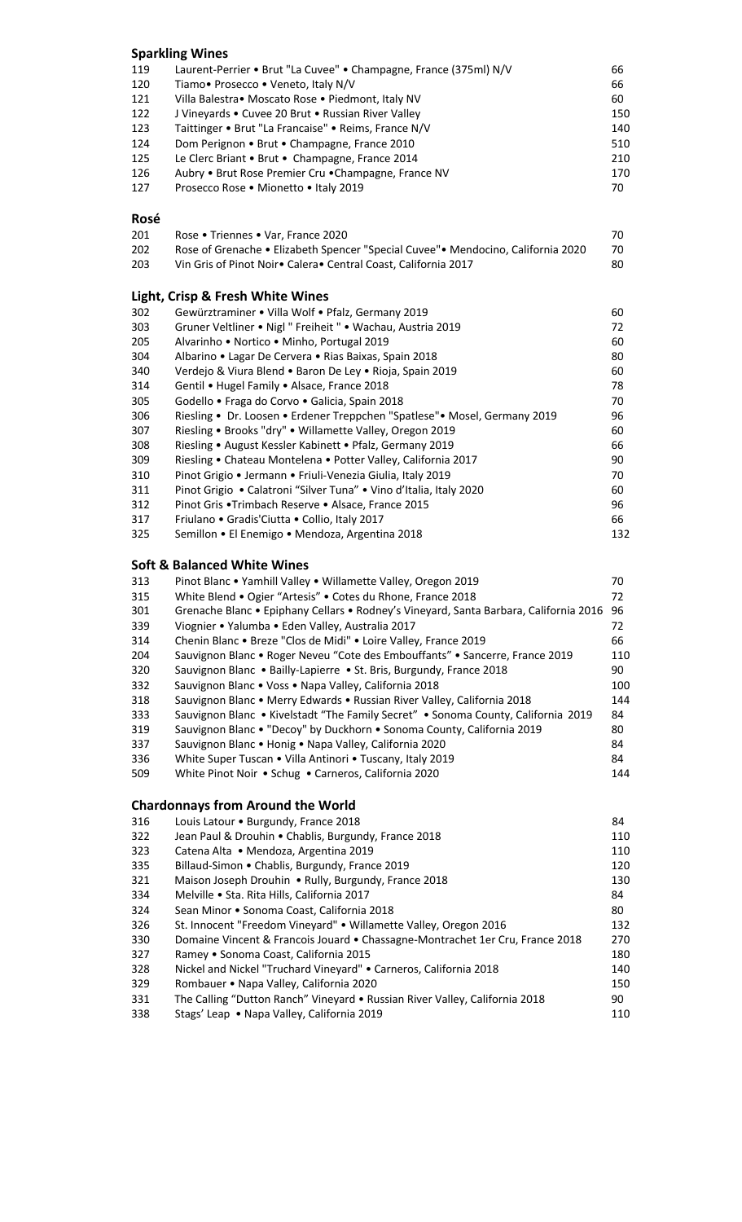|            | <b>Sparkling Wines</b>                                                                                                                                       |            |
|------------|--------------------------------------------------------------------------------------------------------------------------------------------------------------|------------|
| 119        | Laurent-Perrier • Brut "La Cuvee" • Champagne, France (375ml) N/V                                                                                            | 66         |
| 120        | Tiamo. Prosecco . Veneto, Italy N/V                                                                                                                          | 66         |
| 121        | Villa Balestra • Moscato Rose • Piedmont, Italy NV                                                                                                           | 60         |
| 122        | J Vineyards . Cuvee 20 Brut . Russian River Valley                                                                                                           | 150        |
| 123        | Taittinger • Brut "La Francaise" • Reims, France N/V                                                                                                         | 140        |
| 124        | Dom Perignon • Brut • Champagne, France 2010                                                                                                                 | 510        |
| 125        | Le Clerc Briant • Brut • Champagne, France 2014                                                                                                              | 210        |
| 126        | Aubry . Brut Rose Premier Cru . Champagne, France NV                                                                                                         | 170        |
| 127        | Prosecco Rose . Mionetto . Italy 2019                                                                                                                        | 70         |
| Rosé       |                                                                                                                                                              |            |
| 201        | Rose . Triennes . Var, France 2020                                                                                                                           | 70         |
| 202        | Rose of Grenache • Elizabeth Spencer "Special Cuvee" • Mendocino, California 2020                                                                            | 70         |
| 203        | Vin Gris of Pinot Noir• Calera• Central Coast, California 2017                                                                                               | 80         |
|            | <b>Light, Crisp &amp; Fresh White Wines</b>                                                                                                                  |            |
| 302        | Gewürztraminer • Villa Wolf • Pfalz, Germany 2019                                                                                                            | 60         |
| 303        | Gruner Veltliner • Nigl " Freiheit " • Wachau, Austria 2019                                                                                                  | 72         |
| 205        | Alvarinho . Nortico . Minho, Portugal 2019                                                                                                                   | 60         |
| 304        | Albarino • Lagar De Cervera • Rias Baixas, Spain 2018                                                                                                        | 80         |
| 340        | Verdejo & Viura Blend . Baron De Ley . Rioja, Spain 2019                                                                                                     | 60         |
| 314        | Gentil • Hugel Family • Alsace, France 2018                                                                                                                  | 78         |
| 305        | Godello • Fraga do Corvo • Galicia, Spain 2018                                                                                                               | 70         |
| 306        | Riesling • Dr. Loosen • Erdener Treppchen "Spatlese" • Mosel, Germany 2019                                                                                   | 96         |
| 307        | Riesling . Brooks "dry" . Willamette Valley, Oregon 2019                                                                                                     | 60         |
| 308        | Riesling • August Kessler Kabinett • Pfalz, Germany 2019                                                                                                     | 66         |
| 309        | Riesling • Chateau Montelena • Potter Valley, California 2017                                                                                                | 90         |
| 310        | Pinot Grigio • Jermann • Friuli-Venezia Giulia, Italy 2019                                                                                                   | 70         |
| 311        | Pinot Grigio • Calatroni "Silver Tuna" • Vino d'Italia, Italy 2020                                                                                           | 60         |
| 312        | Pinot Gris • Trimbach Reserve • Alsace, France 2015                                                                                                          | 96         |
| 317        | Friulano • Gradis'Ciutta • Collio, Italy 2017                                                                                                                | 66         |
| 325        | Semillon • El Enemigo • Mendoza, Argentina 2018                                                                                                              | 132        |
|            | <b>Soft &amp; Balanced White Wines</b>                                                                                                                       |            |
| 313        | Pinot Blanc . Yamhill Valley . Willamette Valley, Oregon 2019                                                                                                | 70         |
| 315        | White Blend . Ogier "Artesis" . Cotes du Rhone, France 2018                                                                                                  | 72         |
| 301        | Grenache Blanc • Epiphany Cellars • Rodney's Vineyard, Santa Barbara, California 2016                                                                        | 96         |
| 339        | Viognier • Yalumba • Eden Valley, Australia 2017                                                                                                             | 72         |
| 314        | Chenin Blanc . Breze "Clos de Midi" . Loire Valley, France 2019                                                                                              | 66         |
| 204        | Sauvignon Blanc . Roger Neveu "Cote des Embouffants" . Sancerre, France 2019                                                                                 | 110        |
| 320        | Sauvignon Blanc . Bailly-Lapierre . St. Bris, Burgundy, France 2018                                                                                          | 90         |
| 332        | Sauvignon Blanc . Voss . Napa Valley, California 2018                                                                                                        | 100        |
| 318<br>333 | Sauvignon Blanc . Merry Edwards . Russian River Valley, California 2018<br>Sauvignon Blanc • Kivelstadt "The Family Secret" • Sonoma County, California 2019 | 144<br>84  |
| 319        | Sauvignon Blanc . "Decoy" by Duckhorn . Sonoma County, California 2019                                                                                       | 80         |
| 337        | Sauvignon Blanc . Honig . Napa Valley, California 2020                                                                                                       | 84         |
| 336        | White Super Tuscan . Villa Antinori . Tuscany, Italy 2019                                                                                                    | 84         |
| 509        | White Pinot Noir • Schug • Carneros, California 2020                                                                                                         | 144        |
|            |                                                                                                                                                              |            |
|            | <b>Chardonnays from Around the World</b>                                                                                                                     |            |
| 316<br>322 | Louis Latour . Burgundy, France 2018                                                                                                                         | 84<br>110  |
|            | Jean Paul & Drouhin . Chablis, Burgundy, France 2018                                                                                                         | 110        |
| 323<br>335 | Catena Alta • Mendoza, Argentina 2019<br>Billaud-Simon . Chablis, Burgundy, France 2019                                                                      |            |
| 321        | Maison Joseph Drouhin . Rully, Burgundy, France 2018                                                                                                         | 120<br>130 |
| 334        | Melville · Sta. Rita Hills, California 2017                                                                                                                  | 84         |
| 324        | Sean Minor . Sonoma Coast, California 2018                                                                                                                   | 80         |
| 326        | St. Innocent "Freedom Vineyard" . Willamette Valley, Oregon 2016                                                                                             | 132        |
| 330        | Domaine Vincent & Francois Jouard . Chassagne-Montrachet 1er Cru, France 2018                                                                                | 270        |
| 327        | Ramey . Sonoma Coast, California 2015                                                                                                                        | 180        |

- 328 Nickel and Nickel "Truchard Vineyard" Carneros, California 2018 140<br>329 Rombauer Napa Valley, California 2020 329 Rombauer • Napa Valley, California 2020<br>331 The Calling "Dutton Ranch" Vineyard • Russian River Valley, California 2018 90
- 331 The Calling "Dutton Ranch" Vineyard Russian River Valley, California 2018 90 Stags' Leap • Napa Valley, California 2019 110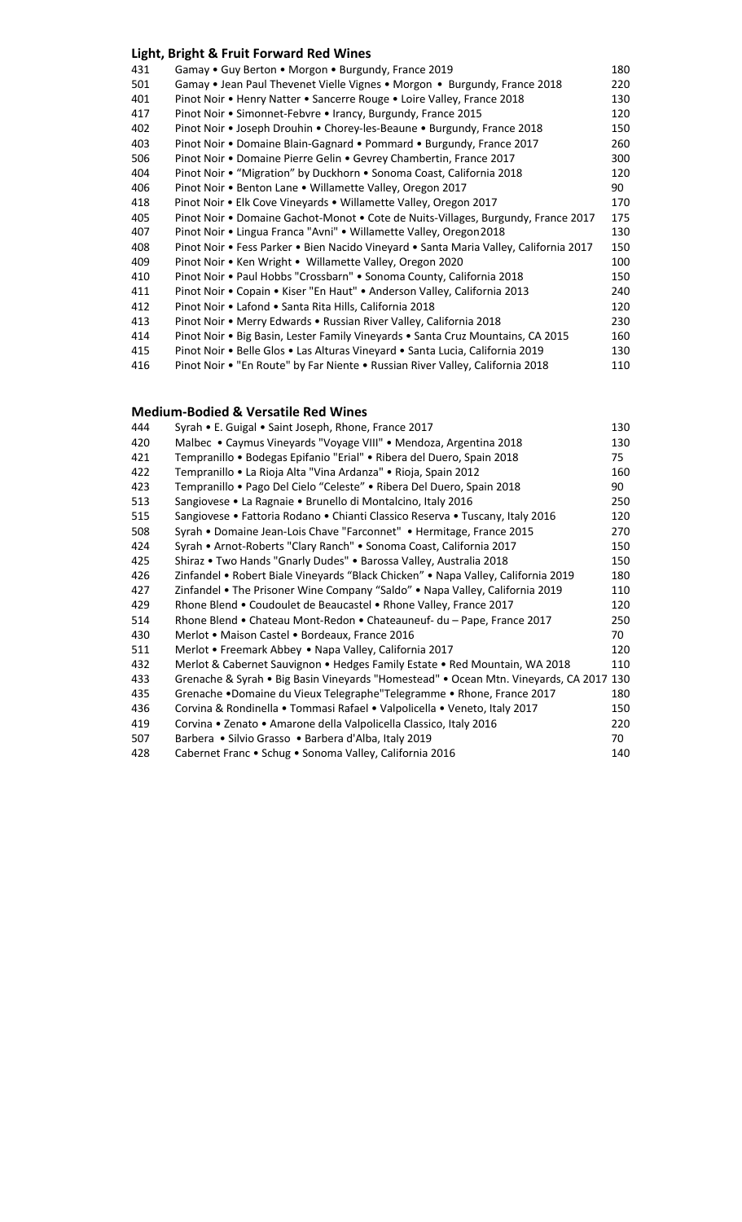### **Light, Bright & Fruit Forward Red Wines**

| 431 | Gamay . Guy Berton . Morgon . Burgundy, France 2019                                   | 180 |
|-----|---------------------------------------------------------------------------------------|-----|
| 501 | Gamay • Jean Paul Thevenet Vielle Vignes • Morgon • Burgundy, France 2018             | 220 |
| 401 | Pinot Noir • Henry Natter • Sancerre Rouge • Loire Valley, France 2018                | 130 |
| 417 | Pinot Noir • Simonnet-Febvre • Irancy, Burgundy, France 2015                          | 120 |
| 402 | Pinot Noir • Joseph Drouhin • Chorey-les-Beaune • Burgundy, France 2018               | 150 |
| 403 | Pinot Noir . Domaine Blain-Gagnard . Pommard . Burgundy, France 2017                  | 260 |
| 506 | Pinot Noir • Domaine Pierre Gelin • Gevrey Chambertin, France 2017                    | 300 |
| 404 | Pinot Noir • "Migration" by Duckhorn • Sonoma Coast, California 2018                  | 120 |
| 406 | Pinot Noir • Benton Lane • Willamette Valley, Oregon 2017                             | 90  |
| 418 | Pinot Noir • Elk Cove Vineyards • Willamette Valley, Oregon 2017                      | 170 |
| 405 | Pinot Noir • Domaine Gachot-Monot • Cote de Nuits-Villages, Burgundy, France 2017     | 175 |
| 407 | Pinot Noir . Lingua Franca "Avni" . Willamette Valley, Oregon 2018                    | 130 |
| 408 | Pinot Noir • Fess Parker • Bien Nacido Vineyard • Santa Maria Valley, California 2017 | 150 |
| 409 | Pinot Noir • Ken Wright • Willamette Valley, Oregon 2020                              | 100 |
| 410 | Pinot Noir • Paul Hobbs "Crossbarn" • Sonoma County, California 2018                  | 150 |
| 411 | Pinot Noir • Copain • Kiser "En Haut" • Anderson Valley, California 2013              | 240 |
| 412 | Pinot Noir • Lafond • Santa Rita Hills, California 2018                               | 120 |
| 413 | Pinot Noir • Merry Edwards • Russian River Valley, California 2018                    | 230 |
| 414 | Pinot Noir • Big Basin, Lester Family Vineyards • Santa Cruz Mountains, CA 2015       | 160 |
| 415 | Pinot Noir • Belle Glos • Las Alturas Vineyard • Santa Lucia, California 2019         | 130 |
| 416 | Pinot Noir . "En Route" by Far Niente . Russian River Valley, California 2018         | 110 |
|     |                                                                                       |     |

#### **Medium-Bodied & Versatile Red Wines**

| 444 | Syrah • E. Guigal • Saint Joseph, Rhone, France 2017                                   | 130 |
|-----|----------------------------------------------------------------------------------------|-----|
| 420 | Malbec • Caymus Vineyards "Voyage VIII" • Mendoza, Argentina 2018                      | 130 |
| 421 | Tempranillo • Bodegas Epifanio "Erial" • Ribera del Duero, Spain 2018                  | 75  |
| 422 | Tempranillo • La Rioja Alta "Vina Ardanza" • Rioja, Spain 2012                         | 160 |
| 423 | Tempranillo • Pago Del Cielo "Celeste" • Ribera Del Duero, Spain 2018                  | 90  |
| 513 | Sangiovese • La Ragnaie • Brunello di Montalcino, Italy 2016                           | 250 |
| 515 | Sangiovese • Fattoria Rodano • Chianti Classico Reserva • Tuscany, Italy 2016          | 120 |
| 508 | Syrah • Domaine Jean-Lois Chave "Farconnet" • Hermitage, France 2015                   | 270 |
| 424 | Syrah • Arnot-Roberts "Clary Ranch" • Sonoma Coast, California 2017                    | 150 |
| 425 | Shiraz • Two Hands "Gnarly Dudes" • Barossa Valley, Australia 2018                     | 150 |
| 426 | Zinfandel • Robert Biale Vineyards "Black Chicken" • Napa Valley, California 2019      | 180 |
| 427 | Zinfandel • The Prisoner Wine Company "Saldo" • Napa Valley, California 2019           | 110 |
| 429 | Rhone Blend . Coudoulet de Beaucastel . Rhone Valley, France 2017                      | 120 |
| 514 | Rhone Blend • Chateau Mont-Redon • Chateauneuf- du - Pape, France 2017                 | 250 |
| 430 | Merlot • Maison Castel • Bordeaux, France 2016                                         | 70  |
| 511 | Merlot • Freemark Abbey • Napa Valley, California 2017                                 | 120 |
| 432 | Merlot & Cabernet Sauvignon . Hedges Family Estate . Red Mountain, WA 2018             | 110 |
| 433 | Grenache & Syrah . Big Basin Vineyards "Homestead" . Ocean Mtn. Vineyards, CA 2017 130 |     |
| 435 | Grenache •Domaine du Vieux Telegraphe "Telegramme • Rhone, France 2017                 | 180 |
| 436 | Corvina & Rondinella • Tommasi Rafael • Valpolicella • Veneto, Italy 2017              | 150 |
| 419 | Corvina • Zenato • Amarone della Valpolicella Classico, Italy 2016                     | 220 |
| 507 | Barbera • Silvio Grasso • Barbera d'Alba, Italy 2019                                   | 70  |
| 428 | Cabernet Franc • Schug • Sonoma Valley, California 2016                                | 140 |